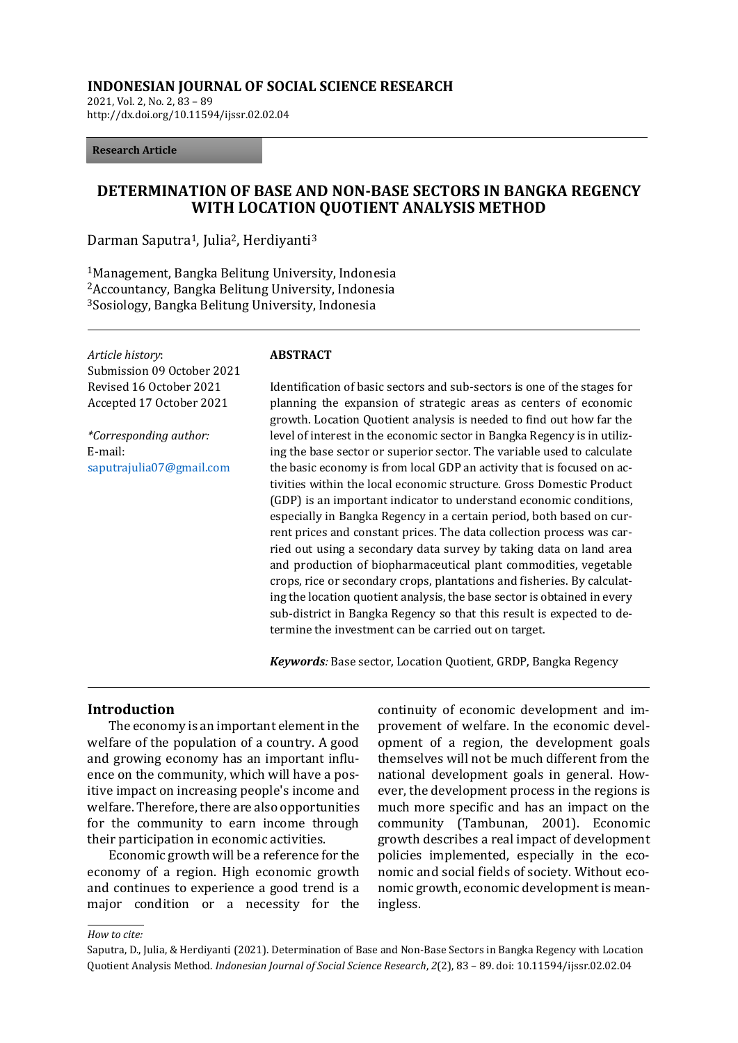### **INDONESIAN JOURNAL OF SOCIAL SCIENCE RESEARCH**

2021, Vol. 2, No. 2, 83 – 89 http://dx.doi.org/10.11594/ijssr.02.02.04

#### **Research Article**

# **DETERMINATION OF BASE AND NON-BASE SECTORS IN BANGKA REGENCY WITH LOCATION QUOTIENT ANALYSIS METHOD**

Darman Saputra<sup>1</sup>, Julia<sup>2</sup>, Herdiyanti<sup>3</sup>

<sup>1</sup>Management, Bangka Belitung University, Indonesia <sup>2</sup>Accountancy, Bangka Belitung University, Indonesia <sup>3</sup>Sosiology, Bangka Belitung University, Indonesia

*Article history*: Submission 09 October 2021 Revised 16 October 2021 Accepted 17 October 2021

*\*Corresponding author:* E-mail: [saputrajulia07@gmail.com](mailto:saputrajulia07@gmail.com)

#### **ABSTRACT**

Identification of basic sectors and sub-sectors is one of the stages for planning the expansion of strategic areas as centers of economic growth. Location Quotient analysis is needed to find out how far the level of interest in the economic sector in Bangka Regency is in utilizing the base sector or superior sector. The variable used to calculate the basic economy is from local GDP an activity that is focused on activities within the local economic structure. Gross Domestic Product (GDP) is an important indicator to understand economic conditions, especially in Bangka Regency in a certain period, both based on current prices and constant prices. The data collection process was carried out using a secondary data survey by taking data on land area and production of biopharmaceutical plant commodities, vegetable crops, rice or secondary crops, plantations and fisheries. By calculating the location quotient analysis, the base sector is obtained in every sub-district in Bangka Regency so that this result is expected to determine the investment can be carried out on target.

*Keywords:* Base sector, Location Quotient, GRDP, Bangka Regency

## **Introduction**

The economy is an important element in the welfare of the population of a country. A good and growing economy has an important influence on the community, which will have a positive impact on increasing people's income and welfare. Therefore, there are also opportunities for the community to earn income through their participation in economic activities.

Economic growth will be a reference for the economy of a region. High economic growth and continues to experience a good trend is a major condition or a necessity for the continuity of economic development and improvement of welfare. In the economic development of a region, the development goals themselves will not be much different from the national development goals in general. However, the development process in the regions is much more specific and has an impact on the community (Tambunan, 2001). Economic growth describes a real impact of development policies implemented, especially in the economic and social fields of society. Without economic growth, economic development is meaningless.

*How to cite:*

Saputra, D., Julia, & Herdiyanti (2021). Determination of Base and Non-Base Sectors in Bangka Regency with Location Quotient Analysis Method. *Indonesian Journal of Social Science Research*, *2*(2), 83 – 89. doi: 10.11594/ijssr.02.02.04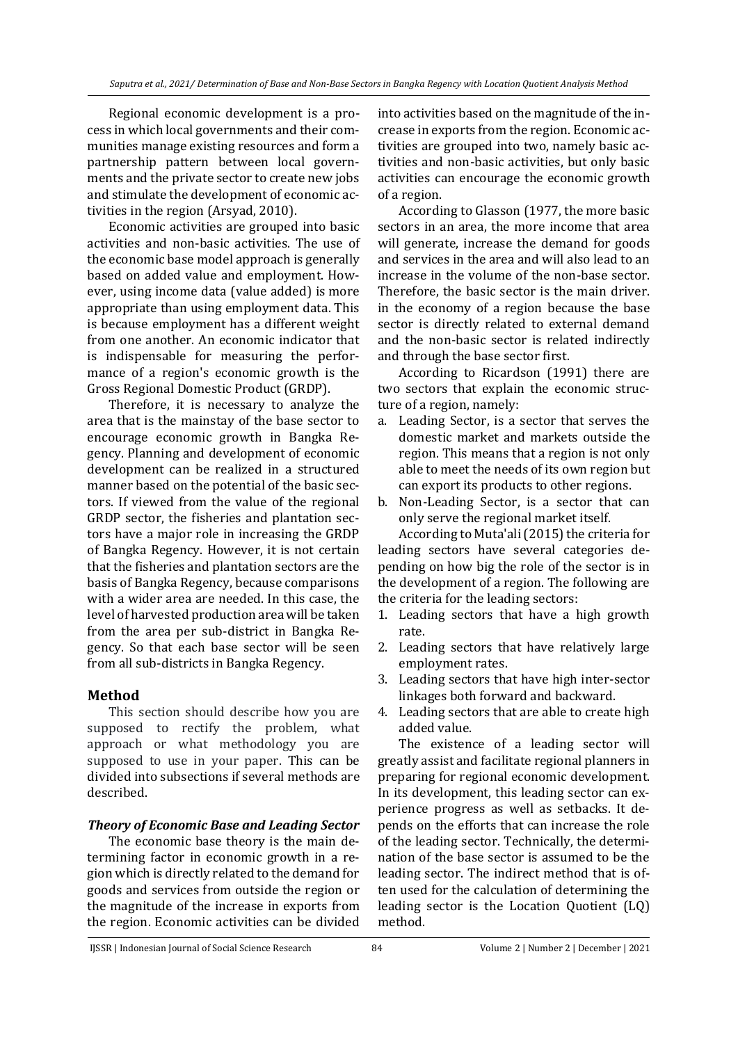Regional economic development is a process in which local governments and their communities manage existing resources and form a partnership pattern between local governments and the private sector to create new jobs and stimulate the development of economic activities in the region (Arsyad, 2010).

Economic activities are grouped into basic activities and non-basic activities. The use of the economic base model approach is generally based on added value and employment. However, using income data (value added) is more appropriate than using employment data. This is because employment has a different weight from one another. An economic indicator that is indispensable for measuring the performance of a region's economic growth is the Gross Regional Domestic Product (GRDP).

Therefore, it is necessary to analyze the area that is the mainstay of the base sector to encourage economic growth in Bangka Regency. Planning and development of economic development can be realized in a structured manner based on the potential of the basic sectors. If viewed from the value of the regional GRDP sector, the fisheries and plantation sectors have a major role in increasing the GRDP of Bangka Regency. However, it is not certain that the fisheries and plantation sectors are the basis of Bangka Regency, because comparisons with a wider area are needed. In this case, the level of harvested production area will be taken from the area per sub-district in Bangka Regency. So that each base sector will be seen from all sub-districts in Bangka Regency.

# **Method**

This section should describe how you are supposed to rectify the problem, what approach or what methodology you are supposed to use in your paper. This can be divided into subsections if several methods are described.

# *Theory of Economic Base and Leading Sector*

The economic base theory is the main determining factor in economic growth in a region which is directly related to the demand for goods and services from outside the region or the magnitude of the increase in exports from the region. Economic activities can be divided

into activities based on the magnitude of the increase in exports from the region. Economic activities are grouped into two, namely basic activities and non-basic activities, but only basic activities can encourage the economic growth of a region.

According to Glasson (1977, the more basic sectors in an area, the more income that area will generate, increase the demand for goods and services in the area and will also lead to an increase in the volume of the non-base sector. Therefore, the basic sector is the main driver. in the economy of a region because the base sector is directly related to external demand and the non-basic sector is related indirectly and through the base sector first.

According to Ricardson (1991) there are two sectors that explain the economic structure of a region, namely:

- a. Leading Sector, is a sector that serves the domestic market and markets outside the region. This means that a region is not only able to meet the needs of its own region but can export its products to other regions.
- b. Non-Leading Sector, is a sector that can only serve the regional market itself.

According to Muta'ali (2015) the criteria for leading sectors have several categories depending on how big the role of the sector is in the development of a region. The following are the criteria for the leading sectors:

- 1. Leading sectors that have a high growth rate.
- 2. Leading sectors that have relatively large employment rates.
- 3. Leading sectors that have high inter-sector linkages both forward and backward.
- 4. Leading sectors that are able to create high added value.

The existence of a leading sector will greatly assist and facilitate regional planners in preparing for regional economic development. In its development, this leading sector can experience progress as well as setbacks. It depends on the efforts that can increase the role of the leading sector. Technically, the determination of the base sector is assumed to be the leading sector. The indirect method that is often used for the calculation of determining the leading sector is the Location Quotient (LQ) method.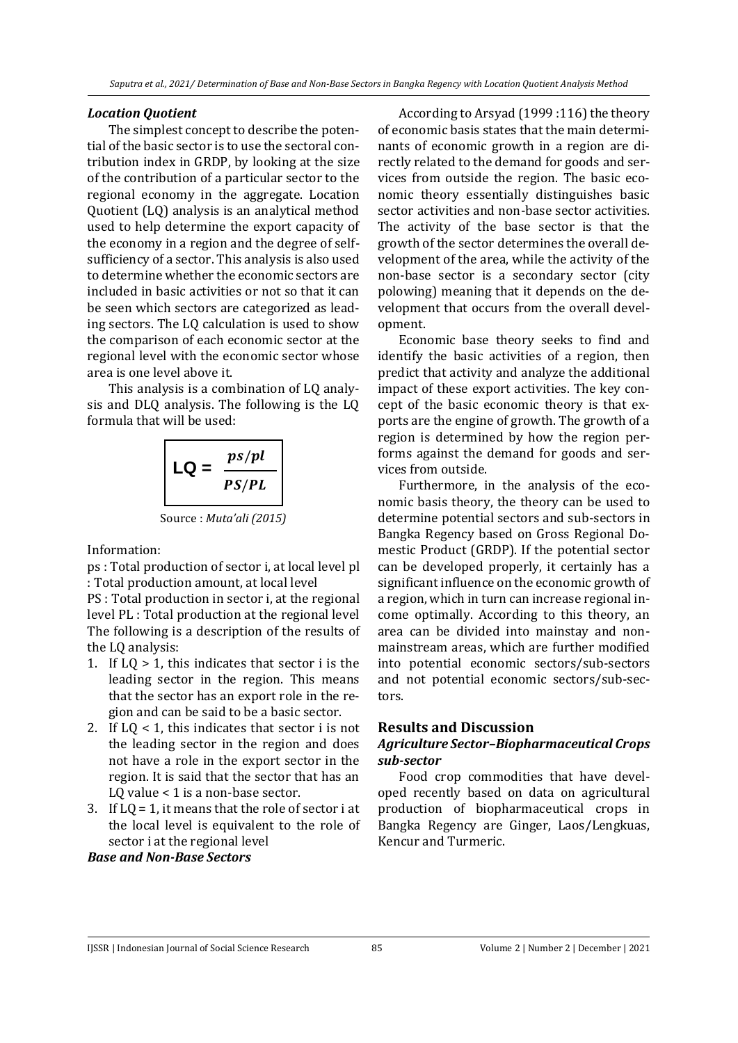#### *Location Quotient*

The simplest concept to describe the potential of the basic sector is to use the sectoral contribution index in GRDP, by looking at the size of the contribution of a particular sector to the regional economy in the aggregate. Location Quotient (LQ) analysis is an analytical method used to help determine the export capacity of the economy in a region and the degree of selfsufficiency of a sector. This analysis is also used to determine whether the economic sectors are included in basic activities or not so that it can be seen which sectors are categorized as leading sectors. The LQ calculation is used to show the comparison of each economic sector at the regional level with the economic sector whose area is one level above it.

This analysis is a combination of LQ analysis and DLQ analysis. The following is the LQ formula that will be used:

$$
LQ = \frac{ps/pl}{PS/PL}
$$
  
Source: *Muta'ali (2015)*

Information:

ps : Total production of sector i, at local level pl : Total production amount, at local level

PS : Total production in sector i, at the regional level PL : Total production at the regional level The following is a description of the results of the LQ analysis:

- 1. If  $LQ > 1$ , this indicates that sector i is the leading sector in the region. This means that the sector has an export role in the region and can be said to be a basic sector.
- 2. If LQ < 1, this indicates that sector i is not the leading sector in the region and does not have a role in the export sector in the region. It is said that the sector that has an LQ value < 1 is a non-base sector.
- 3. If LQ = 1, it means that the role of sector i at the local level is equivalent to the role of sector i at the regional level

## *Base and Non-Base Sectors*

According to Arsyad (1999 :116) the theory of economic basis states that the main determinants of economic growth in a region are directly related to the demand for goods and services from outside the region. The basic economic theory essentially distinguishes basic sector activities and non-base sector activities. The activity of the base sector is that the growth of the sector determines the overall development of the area, while the activity of the non-base sector is a secondary sector (city polowing) meaning that it depends on the development that occurs from the overall development.

Economic base theory seeks to find and identify the basic activities of a region, then predict that activity and analyze the additional impact of these export activities. The key concept of the basic economic theory is that exports are the engine of growth. The growth of a region is determined by how the region performs against the demand for goods and services from outside.

Furthermore, in the analysis of the economic basis theory, the theory can be used to determine potential sectors and sub-sectors in Bangka Regency based on Gross Regional Domestic Product (GRDP). If the potential sector can be developed properly, it certainly has a significant influence on the economic growth of a region, which in turn can increase regional income optimally. According to this theory, an area can be divided into mainstay and nonmainstream areas, which are further modified into potential economic sectors/sub-sectors and not potential economic sectors/sub-sectors.

### **Results and Discussion**

# *Agriculture Sector–Biopharmaceutical Crops sub-sector*

Food crop commodities that have developed recently based on data on agricultural production of biopharmaceutical crops in Bangka Regency are Ginger, Laos/Lengkuas, Kencur and Turmeric.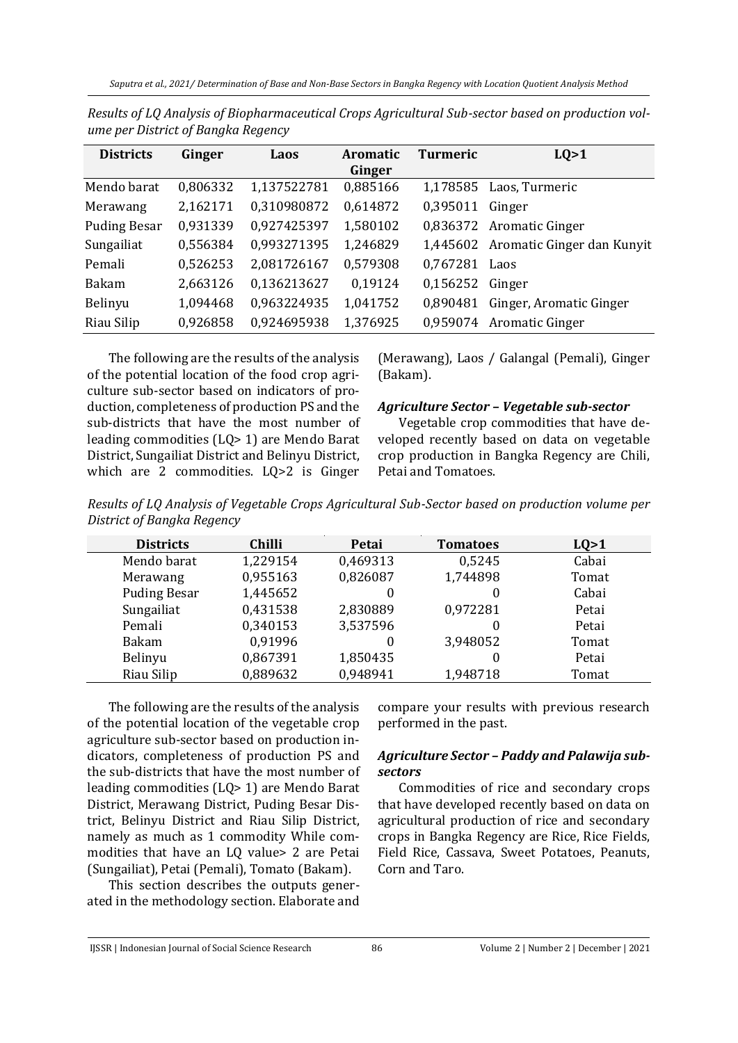| <b>Districts</b>    | Ginger   | Laos        | <b>Aromatic</b><br>Ginger | <b>Turmeric</b> | LQ>1                       |
|---------------------|----------|-------------|---------------------------|-----------------|----------------------------|
| Mendo barat         | 0,806332 | 1,137522781 | 0,885166                  | 1,178585        | Laos, Turmeric             |
| Merawang            | 2,162171 | 0,310980872 | 0,614872                  | 0,395011        | Ginger                     |
| <b>Puding Besar</b> | 0,931339 | 0,927425397 | 1,580102                  |                 | 0,836372 Aromatic Ginger   |
| Sungailiat          | 0,556384 | 0,993271395 | 1,246829                  | 1,445602        | Aromatic Ginger dan Kunyit |
| Pemali              | 0,526253 | 2,081726167 | 0.579308                  | 0,767281        | Laos                       |
| <b>Bakam</b>        | 2,663126 | 0,136213627 | 0,19124                   | 0,156252        | Ginger                     |
| Belinyu             | 1,094468 | 0,963224935 | 1,041752                  | 0,890481        | Ginger, Aromatic Ginger    |
| Riau Silip          | 0,926858 | 0,924695938 | 1,376925                  | 0,959074        | Aromatic Ginger            |

*Results of LQ Analysis of Biopharmaceutical Crops Agricultural Sub-sector based on production volume per District of Bangka Regency*

The following are the results of the analysis of the potential location of the food crop agriculture sub-sector based on indicators of production, completeness of production PS and the sub-districts that have the most number of leading commodities (LQ> 1) are Mendo Barat District, Sungailiat District and Belinyu District, which are 2 commodities. LQ>2 is Ginger

(Merawang), Laos / Galangal (Pemali), Ginger (Bakam).

## *Agriculture Sector – Vegetable sub-sector*

Vegetable crop commodities that have developed recently based on data on vegetable crop production in Bangka Regency are Chili, Petai and Tomatoes.

*Results of LQ Analysis of Vegetable Crops Agricultural Sub-Sector based on production volume per District of Bangka Regency*

| <b>Districts</b>    | <b>Chilli</b> | Petai    | <b>Tomatoes</b> | LQ>1  |
|---------------------|---------------|----------|-----------------|-------|
| Mendo barat         | 1,229154      | 0,469313 | 0,5245          | Cabai |
| Merawang            | 0,955163      | 0,826087 | 1,744898        | Tomat |
| <b>Puding Besar</b> | 1,445652      | 0        |                 | Cabai |
| Sungailiat          | 0,431538      | 2,830889 | 0,972281        | Petai |
| Pemali              | 0,340153      | 3,537596 |                 | Petai |
| <b>Bakam</b>        | 0,91996       | 0        | 3,948052        | Tomat |
| Belinyu             | 0,867391      | 1,850435 |                 | Petai |
| Riau Silip          | 0,889632      | 0,948941 | 1,948718        | Tomat |

The following are the results of the analysis of the potential location of the vegetable crop agriculture sub-sector based on production indicators, completeness of production PS and the sub-districts that have the most number of leading commodities (LQ> 1) are Mendo Barat District, Merawang District, Puding Besar District, Belinyu District and Riau Silip District, namely as much as 1 commodity While commodities that have an LQ value> 2 are Petai (Sungailiat), Petai (Pemali), Tomato (Bakam).

This section describes the outputs generated in the methodology section. Elaborate and

compare your results with previous research performed in the past.

# *Agriculture Sector – Paddy and Palawija subsectors*

Commodities of rice and secondary crops that have developed recently based on data on agricultural production of rice and secondary crops in Bangka Regency are Rice, Rice Fields, Field Rice, Cassava, Sweet Potatoes, Peanuts, Corn and Taro.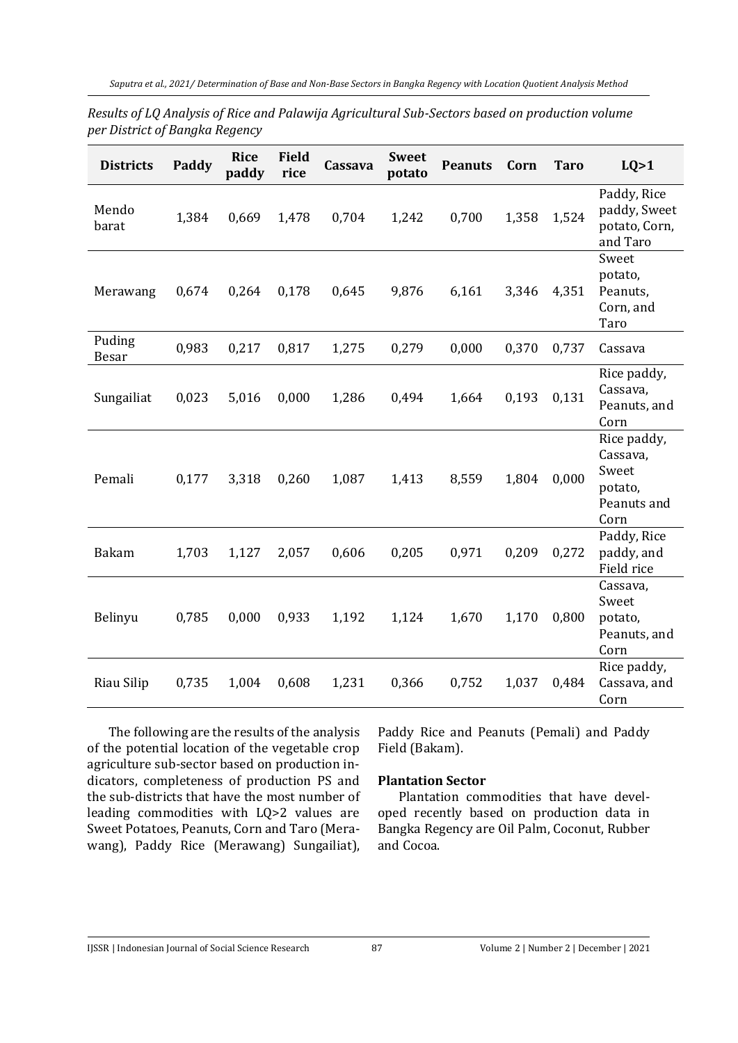| Results of LQ Analysis of Rice and Palawija Agricultural Sub-Sectors based on production volume |
|-------------------------------------------------------------------------------------------------|
| per District of Bangka Regency                                                                  |

| <b>Districts</b>       | Paddy | <b>Rice</b><br>paddy | <b>Field</b><br>rice | Cassava | <b>Sweet</b><br>potato | <b>Peanuts</b> | Corn  | <b>Taro</b> | LQ>1                                                               |
|------------------------|-------|----------------------|----------------------|---------|------------------------|----------------|-------|-------------|--------------------------------------------------------------------|
| Mendo<br>barat         | 1,384 | 0,669                | 1,478                | 0,704   | 1,242                  | 0,700          | 1,358 | 1,524       | Paddy, Rice<br>paddy, Sweet<br>potato, Corn,<br>and Taro           |
| Merawang               | 0,674 | 0,264                | 0,178                | 0,645   | 9,876                  | 6,161          | 3,346 | 4,351       | Sweet<br>potato,<br>Peanuts,<br>Corn, and<br>Taro                  |
| Puding<br><b>Besar</b> | 0,983 | 0,217                | 0,817                | 1,275   | 0,279                  | 0,000          | 0,370 | 0,737       | Cassava                                                            |
| Sungailiat             | 0,023 | 5,016                | 0,000                | 1,286   | 0,494                  | 1,664          | 0,193 | 0,131       | Rice paddy,<br>Cassava,<br>Peanuts, and<br>Corn                    |
| Pemali                 | 0,177 | 3,318                | 0,260                | 1,087   | 1,413                  | 8,559          | 1,804 | 0,000       | Rice paddy,<br>Cassava,<br>Sweet<br>potato,<br>Peanuts and<br>Corn |
| Bakam                  | 1,703 | 1,127                | 2,057                | 0,606   | 0,205                  | 0,971          | 0,209 | 0,272       | Paddy, Rice<br>paddy, and<br>Field rice                            |
| Belinyu                | 0,785 | 0,000                | 0,933                | 1,192   | 1,124                  | 1,670          | 1,170 | 0,800       | Cassava,<br>Sweet<br>potato,<br>Peanuts, and<br>Corn               |
| Riau Silip             | 0,735 | 1,004                | 0,608                | 1,231   | 0,366                  | 0,752          | 1,037 | 0,484       | Rice paddy,<br>Cassava, and<br>Corn                                |

The following are the results of the analysis of the potential location of the vegetable crop agriculture sub-sector based on production indicators, completeness of production PS and the sub-districts that have the most number of leading commodities with LQ>2 values are Sweet Potatoes, Peanuts, Corn and Taro (Merawang), Paddy Rice (Merawang) Sungailiat),

Paddy Rice and Peanuts (Pemali) and Paddy Field (Bakam).

### **Plantation Sector**

Plantation commodities that have developed recently based on production data in Bangka Regency are Oil Palm, Coconut, Rubber and Cocoa.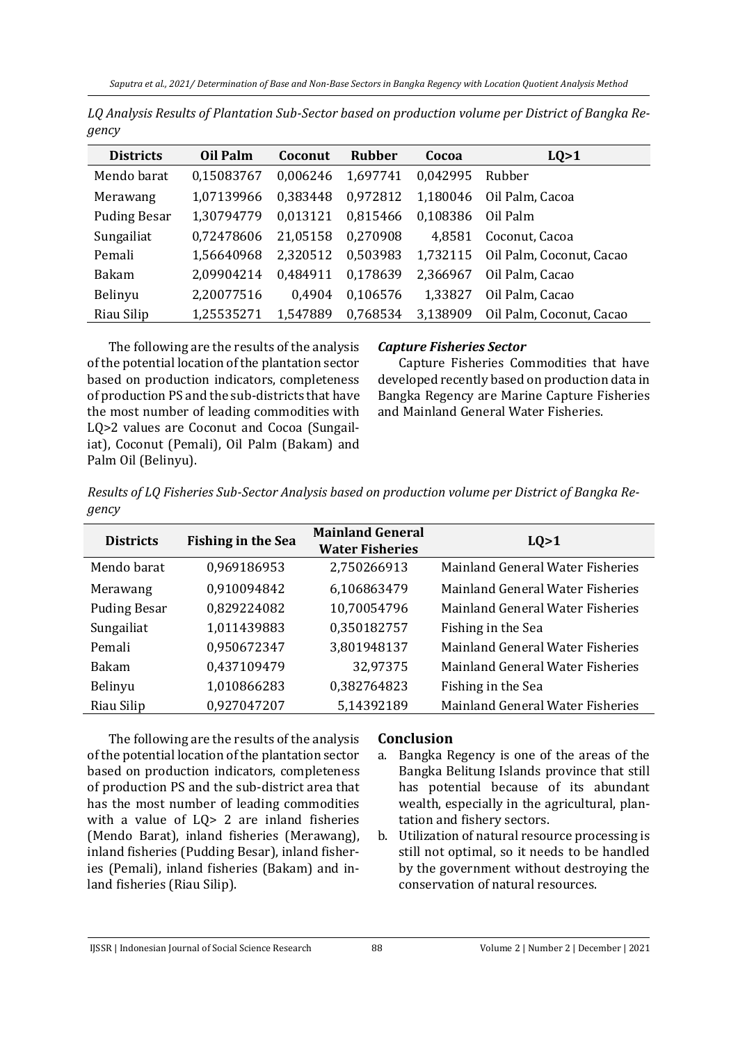| <b>Districts</b>    | Oil Palm   | Coconut  | <b>Rubber</b> | Cocoa    | LQ>1                     |
|---------------------|------------|----------|---------------|----------|--------------------------|
| Mendo barat         | 0,15083767 | 0,006246 | 1,697741      | 0,042995 | Rubber                   |
| Merawang            | 1,07139966 | 0,383448 | 0,972812      | 1,180046 | Oil Palm, Cacoa          |
| <b>Puding Besar</b> | 1,30794779 | 0,013121 | 0,815466      | 0,108386 | Oil Palm                 |
| Sungailiat          | 0,72478606 | 21,05158 | 0,270908      | 4,8581   | Coconut, Cacoa           |
| Pemali              | 1,56640968 | 2,320512 | 0,503983      | 1,732115 | Oil Palm, Coconut, Cacao |
| <b>Bakam</b>        | 2,09904214 | 0,484911 | 0,178639      | 2,366967 | Oil Palm, Cacao          |
| Belinyu             | 2,20077516 | 0,4904   | 0,106576      | 1,33827  | Oil Palm, Cacao          |
| Riau Silip          | 1,25535271 | 1,547889 | 0,768534      | 3,138909 | Oil Palm, Coconut, Cacao |

*LQ Analysis Results of Plantation Sub-Sector based on production volume per District of Bangka Regency*

The following are the results of the analysis of the potential location of the plantation sector based on production indicators, completeness of production PS and the sub-districts that have the most number of leading commodities with LQ>2 values are Coconut and Cocoa (Sungailiat), Coconut (Pemali), Oil Palm (Bakam) and Palm Oil (Belinyu).

# *Capture Fisheries Sector*

Capture Fisheries Commodities that have developed recently based on production data in Bangka Regency are Marine Capture Fisheries and Mainland General Water Fisheries.

*Results of LQ Fisheries Sub-Sector Analysis based on production volume per District of Bangka Regency*

| <b>Districts</b>    | <b>Fishing in the Sea</b> | <b>Mainland General</b><br><b>Water Fisheries</b> | LQ>1                                    |
|---------------------|---------------------------|---------------------------------------------------|-----------------------------------------|
| Mendo barat         | 0,969186953               | 2,750266913                                       | <b>Mainland General Water Fisheries</b> |
| Merawang            | 0,910094842               | 6,106863479                                       | <b>Mainland General Water Fisheries</b> |
| <b>Puding Besar</b> | 0,829224082               | 10,70054796                                       | <b>Mainland General Water Fisheries</b> |
| Sungailiat          | 1,011439883               | 0,350182757                                       | Fishing in the Sea                      |
| Pemali              | 0,950672347               | 3,801948137                                       | <b>Mainland General Water Fisheries</b> |
| <b>Bakam</b>        | 0,437109479               | 32,97375                                          | Mainland General Water Fisheries        |
| Belinyu             | 1,010866283               | 0,382764823                                       | Fishing in the Sea                      |
| Riau Silip          | 0,927047207               | 5,14392189                                        | Mainland General Water Fisheries        |

The following are the results of the analysis of the potential location of the plantation sector based on production indicators, completeness of production PS and the sub-district area that has the most number of leading commodities with a value of LQ> 2 are inland fisheries (Mendo Barat), inland fisheries (Merawang), inland fisheries (Pudding Besar), inland fisheries (Pemali), inland fisheries (Bakam) and inland fisheries (Riau Silip).

# **Conclusion**

- a. Bangka Regency is one of the areas of the Bangka Belitung Islands province that still has potential because of its abundant wealth, especially in the agricultural, plantation and fishery sectors.
- b. Utilization of natural resource processing is still not optimal, so it needs to be handled by the government without destroying the conservation of natural resources.